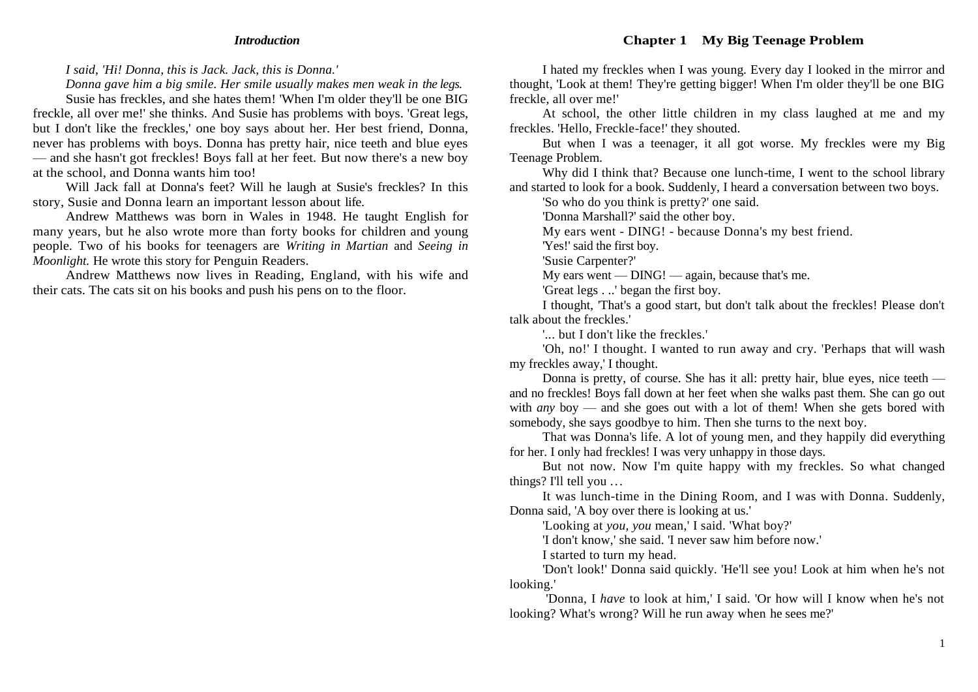#### *Introduction*

#### **Chapter 1 My Big Teenage Problem**

*I said, 'Hi! Donna, this is Jack. Jack, this is Donna.'*

*Donna gave him a big smile. Her smile usually makes men weak in the legs.*

Susie has freckles, and she hates them! 'When I'm older they'll be one BIG freckle, all over me!' she thinks. And Susie has problems with boys. 'Great legs, but I don't like the freckles,' one boy says about her. Her best friend, Donna, never has problems with boys. Donna has pretty hair, nice teeth and blue eyes — and she hasn't got freckles! Boys fall at her feet. But now there's a new boy at the school, and Donna wants him too!

Will Jack fall at Donna's feet? Will he laugh at Susie's freckles? In this story, Susie and Donna learn an important lesson about life.

Andrew Matthews was born in Wales in 1948. He taught English for many years, but he also wrote more than forty books for children and young people. Two of his books for teenagers are *Writing in Martian* and *Seeing in Moonlight.* He wrote this story for Penguin Readers.

Andrew Matthews now lives in Reading, England, with his wife and their cats. The cats sit on his books and push his pens on to the floor.

I hated my freckles when I was young. Every day I looked in the mirror and thought, 'Look at them! They're getting bigger! When I'm older they'll be one BIG freckle, all over me!'

At school, the other little children in my class laughed at me and my freckles. 'Hello, Freckle-face!' they shouted.

But when I was a teenager, it all got worse. My freckles were my Big Teenage Problem.

Why did I think that? Because one lunch-time, I went to the school library and started to look for a book. Suddenly, I heard a conversation between two boys.

'So who do you think is pretty?' one said.

'Donna Marshall?' said the other boy.

My ears went - DING! - because Donna's my best friend.

'Yes!' said the first boy.

'Susie Carpenter?'

My ears went  $-$  DING!  $-$  again, because that's me.

'Great legs . ..' began the first boy.

I thought, 'That's a good start, but don't talk about the freckles! Please don't talk about the freckles.'

'... but I don't like the freckles.'

'Oh, no!' I thought. I wanted to run away and cry. 'Perhaps that will wash my freckles away,' I thought.

Donna is pretty, of course. She has it all: pretty hair, blue eyes, nice teeth and no freckles! Boys fall down at her feet when she walks past them. She can go out with *any* boy — and she goes out with a lot of them! When she gets bored with somebody, she says goodbye to him. Then she turns to the next boy.

That was Donna's life. A lot of young men, and they happily did everything for her. I only had freckles! I was very unhappy in those days.

But not now. Now I'm quite happy with my freckles. So what changed things? I'll tell you ...

It was lunch-time in the Dining Room, and I was with Donna. Suddenly, Donna said, 'A boy over there is looking at us.'

'Looking at *you, you* mean,' I said. 'What boy?'

'I don't know,' she said. 'I never saw him before now.'

I started to turn my head.

'Don't look!' Donna said quickly. 'He'll see you! Look at him when he's not looking.'

'Donna, I *have* to look at him,' I said. 'Or how will I know when he's not looking? What's wrong? Will he run away when he sees me?'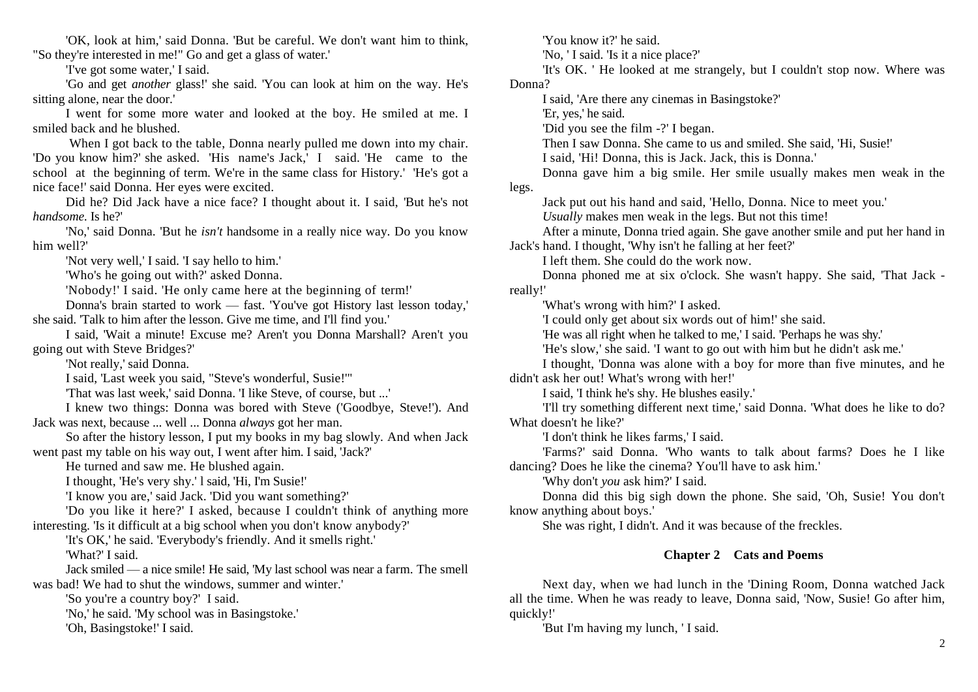'OK, look at him,' said Donna. 'But be careful. We don't want him to think, "So they're interested in me!" Go and get a glass of water.'

'I've got some water,' I said.

'Go and get *another* glass!' she said. 'You can look at him on the way. He's sitting alone, near the door.'

I went for some more water and looked at the boy. He smiled at me. I smiled back and he blushed.

When I got back to the table, Donna nearly pulled me down into my chair. 'Do you know him?' she asked. 'His name's Jack,' I said. 'He came to the school at the beginning of term. We're in the same class for History.' 'He's got a nice face!' said Donna. Her eyes were excited.

Did he? Did Jack have a nice face? I thought about it. I said, 'But he's not *handsome.* Is he?'

'No,' said Donna. 'But he *isn't* handsome in a really nice way. Do you know him well?'

'Not very well,' I said. 'I say hello to him.'

'Who's he going out with?' asked Donna.

'Nobody!' I said. 'He only came here at the beginning of term!'

Donna's brain started to work — fast. 'You've got History last lesson today,' she said. 'Talk to him after the lesson. Give me time, and I'll find you.'

I said, 'Wait a minute! Excuse me? Aren't you Donna Marshall? Aren't you going out with Steve Bridges?'

'Not really,' said Donna.

I said, 'Last week you said, "Steve's wonderful, Susie!'"

'That was last week,' said Donna. 'I like Steve, of course, but ...'

I knew two things: Donna was bored with Steve ('Goodbye, Steve!'). And Jack was next, because ... well ... Donna *always* got her man.

So after the history lesson, I put my books in my bag slowly. And when Jack went past my table on his way out, I went after him. I said, 'Jack?'

He turned and saw me. He blushed again.

I thought, 'He's very shy.' l said, 'Hi, I'm Susie!'

'I know you are,' said Jack. 'Did you want something?'

'Do you like it here?' I asked, because I couldn't think of anything more interesting. 'Is it difficult at a big school when you don't know anybody?'

'It's OK,' he said. 'Everybody's friendly. And it smells right.' 'What?' I said.

Jack smiled — a nice smile! He said, 'My last school was near a farm. The smell was bad! We had to shut the windows, summer and winter.'

'So you're a country boy?' I said.

'No,' he said. 'My school was in Basingstoke.'

'Oh, Basingstoke!' I said.

'You know it?' he said.

'No, ' I said. 'Is it a nice place?'

'It's OK. ' He looked at me strangely, but I couldn't stop now. Where was Donna?

I said, 'Are there any cinemas in Basingstoke?'

'Er, yes,' he said.

'Did you see the film -?' I began.

Then I saw Donna. She came to us and smiled. She said, 'Hi, Susie!'

I said, 'Hi! Donna, this is Jack. Jack, this is Donna.'

Donna gave him a big smile. Her smile usually makes men weak in the legs.

Jack put out his hand and said, 'Hello, Donna. Nice to meet you.'

*Usually* makes men weak in the legs. But not this time!

After a minute, Donna tried again. She gave another smile and put her hand in Jack's hand. I thought, 'Why isn't he falling at her feet?'

I left them. She could do the work now.

Donna phoned me at six o'clock. She wasn't happy. She said, 'That Jack really!'

'What's wrong with him?' I asked.

'I could only get about six words out of him!' she said.

'He was all right when he talked to me,' I said. 'Perhaps he was shy.'

'He's slow,' she said. 'I want to go out with him but he didn't ask me.'

I thought, 'Donna was alone with a boy for more than five minutes, and he didn't ask her out! What's wrong with her!'

I said, 'I think he's shy. He blushes easily.'

'I'll try something different next time,' said Donna. 'What does he like to do? What doesn't he like?'

'I don't think he likes farms,' I said.

'Farms?' said Donna. 'Who wants to talk about farms? Does he I like dancing? Does he like the cinema? You'll have to ask him.'

'Why don't *you* ask him?' I said.

Donna did this big sigh down the phone. She said, 'Oh, Susie! You don't know anything about boys.'

She was right, I didn't. And it was because of the freckles.

## **Chapter 2 Cats and Poems**

Next day, when we had lunch in the 'Dining Room, Donna watched Jack all the time. When he was ready to leave, Donna said, 'Now, Susie! Go after him, quickly!'

'But I'm having my lunch, ' I said.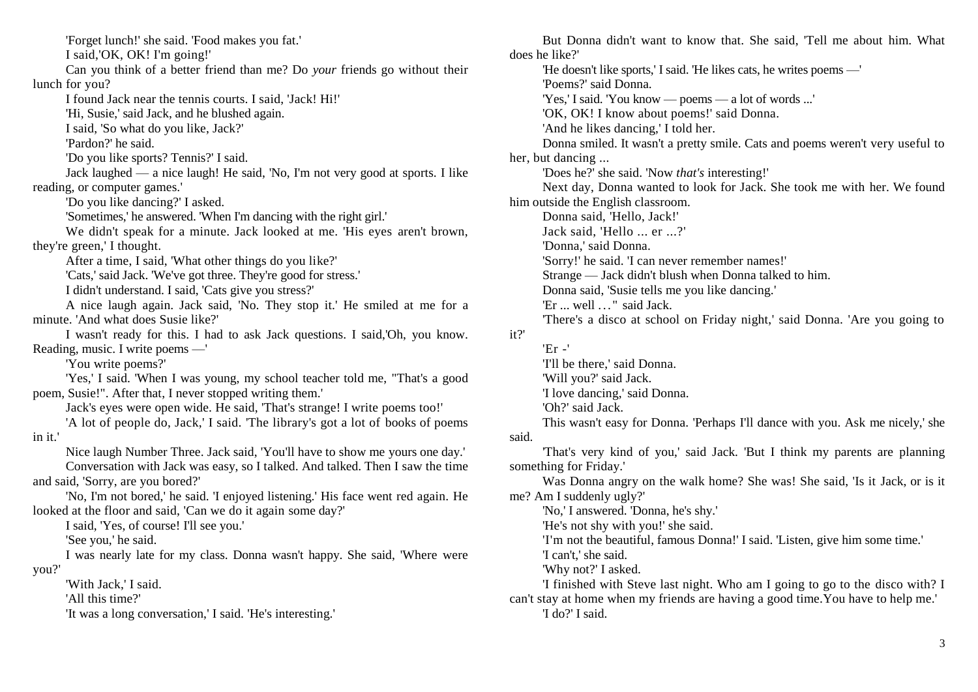'Forget lunch!' she said. 'Food makes you fat.' I said,'OK, OK! I'm going!' Can you think of a better friend than me? Do *your* friends go without their lunch for you? I found Jack near the tennis courts. I said, 'Jack! Hi!' 'Hi, Susie,' said Jack, and he blushed again. I said, 'So what do you like, Jack?' 'Pardon?' he said. 'Do you like sports? Tennis?' I said. Jack laughed — a nice laugh! He said, 'No, I'm not very good at sports. I like reading, or computer games.' 'Do you like dancing?' I asked. 'Sometimes,' he answered. 'When I'm dancing with the right girl.' We didn't speak for a minute. Jack looked at me. 'His eyes aren't brown, they're green,' I thought. After a time, I said, 'What other things do you like?' 'Cats,' said Jack. 'We've got three. They're good for stress.' I didn't understand. I said, 'Cats give you stress?' A nice laugh again. Jack said, 'No. They stop it.' He smiled at me for a minute. 'And what does Susie like?' I wasn't ready for this. I had to ask Jack questions. I said,'Oh, you know. Reading, music. I write poems —' 'You write poems?' 'Yes,' I said. 'When I was young, my school teacher told me, "That's a good poem, Susie!". After that, I never stopped writing them.' Jack's eyes were open wide. He said, 'That's strange! I write poems too!' 'A lot of people do, Jack,' I said. 'The library's got a lot of books of poems in it.' Nice laugh Number Three. Jack said, 'You'll have to show me yours one day.' Conversation with Jack was easy, so I talked. And talked. Then I saw the time and said, 'Sorry, are you bored?' 'No, I'm not bored,' he said. 'I enjoyed listening.' His face went red again. He looked at the floor and said, 'Can we do it again some day?' I said, 'Yes, of course! I'll see you.' 'See you,' he said. I was nearly late for my class. Donna wasn't happy. She said, 'Where were you?' 'With Jack,' I said. 'All this time?' 'It was a long conversation,' I said. 'He's interesting.'

But Donna didn't want to know that. She said, 'Tell me about him. What does he like?' 'He doesn't like sports,' I said. 'He likes cats, he writes poems —' 'Poems?' said Donna. 'Yes,' I said. 'You know — poems — a lot of words ...' 'OK, OK! I know about poems!' said Donna. 'And he likes dancing,' I told her. Donna smiled. It wasn't a pretty smile. Cats and poems weren't very useful to her, but dancing ... 'Does he?' she said. 'Now *that's* interesting!' Next day, Donna wanted to look for Jack. She took me with her. We found him outside the English classroom. Donna said, 'Hello, Jack!' Jack said, 'Hello ... er ...?' 'Donna,' said Donna. 'Sorry!' he said. 'I can never remember names!' Strange — Jack didn't blush when Donna talked to him. Donna said, 'Susie tells me you like dancing.' 'Er ... well . .." said Jack. 'There's a disco at school on Friday night,' said Donna. 'Are you going to it?' 'Er -' 'I'll be there,' said Donna. 'Will you?' said Jack. 'I love dancing,' said Donna. 'Oh?' said Jack. This wasn't easy for Donna. 'Perhaps I'll dance with you. Ask me nicely,' she said. 'That's very kind of you,' said Jack. 'But I think my parents are planning something for Friday.' Was Donna angry on the walk home? She was! She said, 'Is it Jack, or is it me? Am I suddenly ugly?' 'No,' I answered. 'Donna, he's shy.' 'He's not shy with you!' she said. 'I'm not the beautiful, famous Donna!' I said. 'Listen, give him some time.' 'I can't,' she said. 'Why not?' I asked. 'I finished with Steve last night. Who am I going to go to the disco with? I can't stay at home when my friends are having a good time.You have to help me.' 'I do?' I said.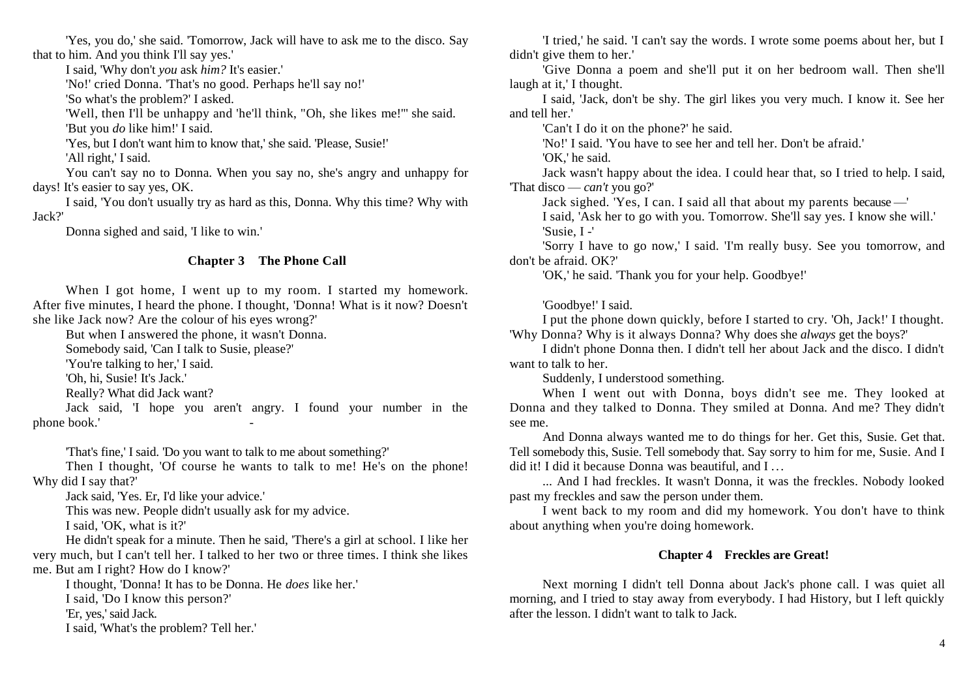'Yes, you do,' she said. 'Tomorrow, Jack will have to ask me to the disco. Say that to him. And you think I'll say yes.'

I said, 'Why don't *you* ask *him?* It's easier.'

'No!' cried Donna. 'That's no good. Perhaps he'll say no!'

'So what's the problem?' I asked.

'Well, then I'll be unhappy and 'he'll think, "Oh, she likes me!'" she said. 'But you *do* like him!' I said.

'Yes, but I don't want him to know that,' she said. 'Please, Susie!' 'All right,' I said.

You can't say no to Donna. When you say no, she's angry and unhappy for days! It's easier to say yes, OK.

I said, 'You don't usually try as hard as this, Donna. Why this time? Why with Jack?'

Donna sighed and said, 'I like to win.'

# **Chapter 3 The Phone Call**

When I got home, I went up to my room. I started my homework. After five minutes, I heard the phone. I thought, 'Donna! What is it now? Doesn't she like Jack now? Are the colour of his eyes wrong?'

But when I answered the phone, it wasn't Donna.

Somebody said, 'Can I talk to Susie, please?'

'You're talking to her,' I said.

'Oh, hi, Susie! It's Jack.'

Really? What did Jack want?

Jack said, 'I hope you aren't angry. I found your number in the phone book.' Figures 2014.

'That's fine,' I said. 'Do you want to talk to me about something?'

Then I thought, 'Of course he wants to talk to me! He's on the phone! Why did I say that?'

Jack said, 'Yes. Er, I'd like your advice.'

This was new. People didn't usually ask for my advice.

I said, 'OK, what is it?'

He didn't speak for a minute. Then he said, 'There's a girl at school. I like her very much, but I can't tell her. I talked to her two or three times. I think she likes me. But am I right? How do I know?'

I thought, 'Donna! It has to be Donna. He *does* like her.'

I said, 'Do I know this person?'

'Er, yes,' said Jack.

I said, 'What's the problem? Tell her.'

'I tried,' he said. 'I can't say the words. I wrote some poems about her, but I didn't give them to her.'

'Give Donna a poem and she'll put it on her bedroom wall. Then she'll laugh at it,' I thought.

I said, 'Jack, don't be shy. The girl likes you very much. I know it. See her and tell her.'

'Can't I do it on the phone?' he said.

'No!' I said. 'You have to see her and tell her. Don't be afraid.'

'OK,' he said.

Jack wasn't happy about the idea. I could hear that, so I tried to help. I said, 'That disco — *can't* you go?'

Jack sighed. 'Yes, I can. I said all that about my parents because —'

I said, 'Ask her to go with you. Tomorrow. She'll say yes. I know she will.' 'Susie, I -'

'Sorry I have to go now,' I said. 'I'm really busy. See you tomorrow, and don't be afraid. OK?'

'OK,' he said. 'Thank you for your help. Goodbye!'

'Goodbye!' I said.

I put the phone down quickly, before I started to cry. 'Oh, Jack!' I thought. 'Why Donna? Why is it always Donna? Why does she *always* get the boys?'

I didn't phone Donna then. I didn't tell her about Jack and the disco. I didn't want to talk to her.

Suddenly, I understood something.

When I went out with Donna, boys didn't see me. They looked at Donna and they talked to Donna. They smiled at Donna. And me? They didn't see me.

And Donna always wanted me to do things for her. Get this, Susie. Get that. Tell somebody this, Susie. Tell somebody that. Say sorry to him for me, Susie. And I did it! I did it because Donna was beautiful, and I ...

... And I had freckles. It wasn't Donna, it was the freckles. Nobody looked past my freckles and saw the person under them.

I went back to my room and did my homework. You don't have to think about anything when you're doing homework.

## **Chapter 4 Freckles are Great!**

Next morning I didn't tell Donna about Jack's phone call. I was quiet all morning, and I tried to stay away from everybody. I had History, but I left quickly after the lesson. I didn't want to talk to Jack.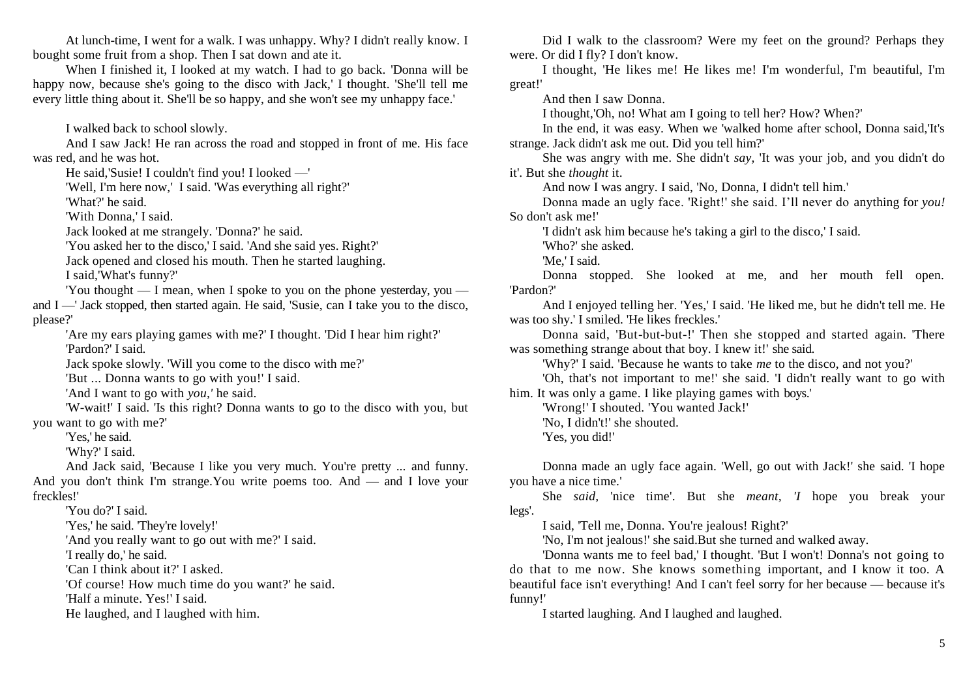At lunch-time, I went for a walk. I was unhappy. Why? I didn't really know. I bought some fruit from a shop. Then I sat down and ate it.

When I finished it, I looked at my watch. I had to go back. 'Donna will be happy now, because she's going to the disco with Jack,' I thought. 'She'll tell me every little thing about it. She'll be so happy, and she won't see my unhappy face.'

I walked back to school slowly.

And I saw Jack! He ran across the road and stopped in front of me. His face was red, and he was hot.

He said,'Susie! I couldn't find you! I looked —'

'Well, I'm here now,' I said. 'Was everything all right?'

'What?' he said.

'With Donna,' I said.

Jack looked at me strangely. 'Donna?' he said.

'You asked her to the disco,' I said. 'And she said yes. Right?'

Jack opened and closed his mouth. Then he started laughing.

I said,'What's funny?'

'You thought — I mean, when I spoke to you on the phone yesterday, you and I —' Jack stopped, then started again. He said, 'Susie, can I take you to the disco, please?'

'Are my ears playing games with me?' I thought. 'Did I hear him right?' 'Pardon?' I said.

Jack spoke slowly. 'Will you come to the disco with me?'

'But ... Donna wants to go with you!' I said.

'And I want to go with *you,'* he said.

'W-wait!' I said. 'Is this right? Donna wants to go to the disco with you, but you want to go with me?'

'Yes,' he said.

'Why?' I said.

And Jack said, 'Because I like you very much. You're pretty ... and funny. And you don't think I'm strange.You write poems too. And — and I love your freckles!'

'You do?' I said.

'Yes,' he said. 'They're lovely!'

'And you really want to go out with me?' I said.

'I really do,' he said.

'Can I think about it?' I asked.

'Of course! How much time do you want?' he said.

'Half a minute. Yes!' I said.

He laughed, and I laughed with him.

Did I walk to the classroom? Were my feet on the ground? Perhaps they were. Or did I fly? I don't know.

I thought, 'He likes me! He likes me! I'm wonderful, I'm beautiful, I'm great!'

And then I saw Donna.

I thought,'Oh, no! What am I going to tell her? How? When?'

In the end, it was easy. When we 'walked home after school, Donna said,'It's strange. Jack didn't ask me out. Did you tell him?'

She was angry with me. She didn't *say,* 'It was your job, and you didn't do it'. But she *thought* it.

And now I was angry. I said, 'No, Donna, I didn't tell him.'

Donna made an ugly face. 'Right!' she said. I'll never do anything for *you!*  So don't ask me!'

'I didn't ask him because he's taking a girl to the disco,' I said.

'Who?' she asked.

'Me,' I said.

Donna stopped. She looked at me, and her mouth fell open. 'Pardon?'

And I enjoyed telling her. 'Yes,' I said. 'He liked me, but he didn't tell me. He was too shy.' I smiled. 'He likes freckles.'

Donna said, 'But-but-but-!' Then she stopped and started again. 'There was something strange about that boy. I knew it!' she said.

'Why?' I said. 'Because he wants to take *me* to the disco, and not you?'

'Oh, that's not important to me!' she said. 'I didn't really want to go with him. It was only a game. I like playing games with boys.'

'Wrong!' I shouted. 'You wanted Jack!'

'No, I didn't!' she shouted.

'Yes, you did!'

Donna made an ugly face again. 'Well, go out with Jack!' she said. 'I hope you have a nice time.'

She *said,* 'nice time'. But she *meant, 'I* hope you break your legs'.

I said, 'Tell me, Donna. You're jealous! Right?'

'No, I'm not jealous!' she said.But she turned and walked away.

'Donna wants me to feel bad,' I thought. 'But I won't! Donna's not going to do that to me now. She knows something important, and I know it too. A beautiful face isn't everything! And I can't feel sorry for her because — because it's funny!'

I started laughing. And I laughed and laughed.